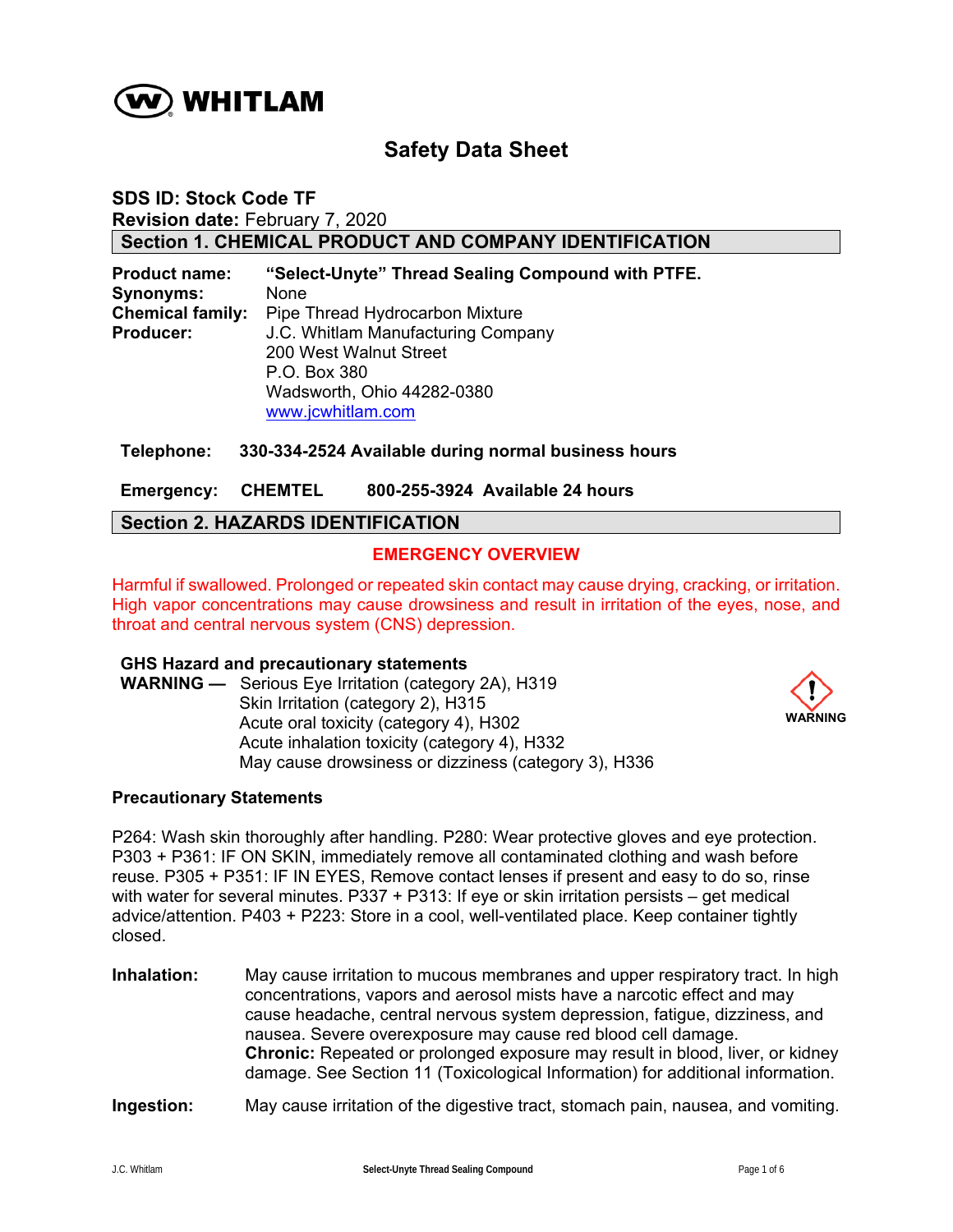

# **Safety Data Sheet**

**SDS ID: Stock Code TF Revision date:** February 7, 2020 **Section 1. CHEMICAL PRODUCT AND COMPANY IDENTIFICATION** 

**Product name: "Select-Unyte" Thread Sealing Compound with PTFE. Synonyms:** None **Chemical family:** Pipe Thread Hydrocarbon Mixture **Producer:** J.C. Whitlam Manufacturing Company 200 West Walnut Street P.O. Box 380 Wadsworth, Ohio 44282-0380 www.jcwhitlam.com

## **Telephone: 330-334-2524 Available during normal business hours**

**Emergency: CHEMTEL 800-255-3924 Available 24 hours** 

# **Section 2. HAZARDS IDENTIFICATION**

# **EMERGENCY OVERVIEW**

Harmful if swallowed. Prolonged or repeated skin contact may cause drying, cracking, or irritation. High vapor concentrations may cause drowsiness and result in irritation of the eyes, nose, and throat and central nervous system (CNS) depression.

#### **GHS Hazard and precautionary statements**

**WARNING —** Serious Eye Irritation (category 2A), H319 Skin Irritation (category 2), H315 Acute oral toxicity (category 4), H302 Acute inhalation toxicity (category 4), H332 May cause drowsiness or dizziness (category 3), H336



#### **Precautionary Statements**

P264: Wash skin thoroughly after handling. P280: Wear protective gloves and eye protection. P303 + P361: IF ON SKIN, immediately remove all contaminated clothing and wash before reuse. P305 + P351: IF IN EYES, Remove contact lenses if present and easy to do so, rinse with water for several minutes. P337 + P313: If eye or skin irritation persists – get medical advice/attention. P403 + P223: Store in a cool, well-ventilated place. Keep container tightly closed.

**Inhalation:** May cause irritation to mucous membranes and upper respiratory tract. In high concentrations, vapors and aerosol mists have a narcotic effect and may cause headache, central nervous system depression, fatigue, dizziness, and nausea. Severe overexposure may cause red blood cell damage. **Chronic:** Repeated or prolonged exposure may result in blood, liver, or kidney damage. See Section 11 (Toxicological Information) for additional information.

## **Ingestion:** May cause irritation of the digestive tract, stomach pain, nausea, and vomiting.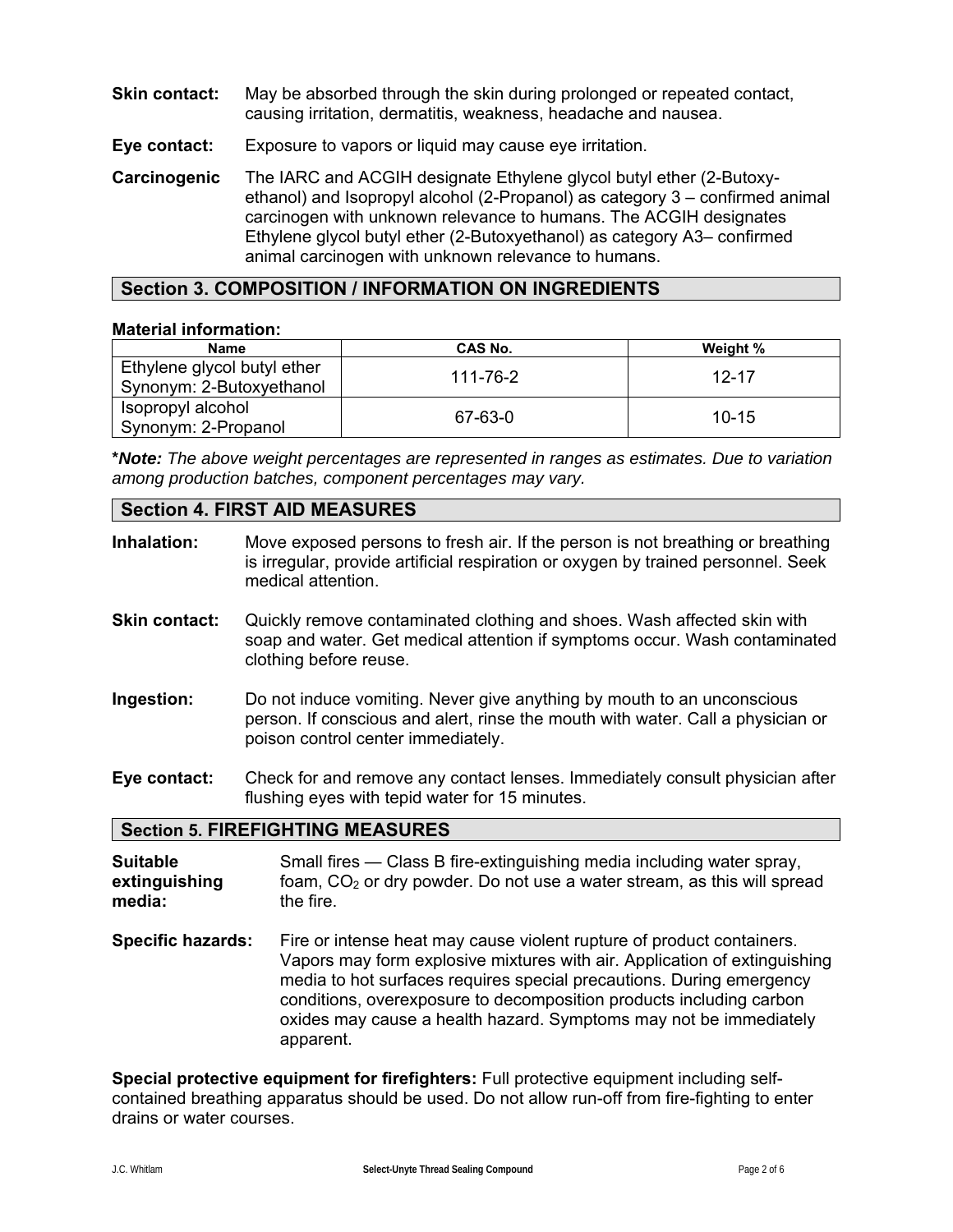- **Skin contact:** May be absorbed through the skin during prolonged or repeated contact, causing irritation, dermatitis, weakness, headache and nausea.
- **Eye contact:** Exposure to vapors or liquid may cause eye irritation.
- **Carcinogenic** The IARC and ACGIH designate Ethylene glycol butyl ether (2-Butoxyethanol) and Isopropyl alcohol (2-Propanol) as category 3 – confirmed animal carcinogen with unknown relevance to humans. The ACGIH designates Ethylene glycol butyl ether (2-Butoxyethanol) as category A3– confirmed animal carcinogen with unknown relevance to humans.

# **Section 3. COMPOSITION / INFORMATION ON INGREDIENTS**

## **Material information:**

| <b>Name</b>                                             | CAS No.  | Weight %  |
|---------------------------------------------------------|----------|-----------|
| Ethylene glycol butyl ether<br>Synonym: 2-Butoxyethanol | 111-76-2 | 12-17     |
| Isopropyl alcohol<br>Synonym: 2-Propanol                | 67-63-0  | $10 - 15$ |

**\****Note: The above weight percentages are represented in ranges as estimates. Due to variation among production batches, component percentages may vary.*

# **Section 4. FIRST AID MEASURES**

| Inhalation:                                | Move exposed persons to fresh air. If the person is not breathing or breathing<br>is irregular, provide artificial respiration or oxygen by trained personnel. Seek<br>medical attention.       |  |  |
|--------------------------------------------|-------------------------------------------------------------------------------------------------------------------------------------------------------------------------------------------------|--|--|
| <b>Skin contact:</b>                       | Quickly remove contaminated clothing and shoes. Wash affected skin with<br>soap and water. Get medical attention if symptoms occur. Wash contaminated<br>clothing before reuse.                 |  |  |
| Ingestion:                                 | Do not induce vomiting. Never give anything by mouth to an unconscious<br>person. If conscious and alert, rinse the mouth with water. Call a physician or<br>poison control center immediately. |  |  |
| Eye contact:                               | Check for and remove any contact lenses. Immediately consult physician after<br>flushing eyes with tepid water for 15 minutes.                                                                  |  |  |
| <b>Section 5. FIREFIGHTING MEASURES</b>    |                                                                                                                                                                                                 |  |  |
| <b>Suitable</b><br>extinguishing<br>media: | Small fires — Class B fire-extinguishing media including water spray,<br>foam, $CO2$ or dry powder. Do not use a water stream, as this will spread<br>the fire.                                 |  |  |

**Specific hazards:** Fire or intense heat may cause violent rupture of product containers. Vapors may form explosive mixtures with air. Application of extinguishing media to hot surfaces requires special precautions. During emergency conditions, overexposure to decomposition products including carbon oxides may cause a health hazard. Symptoms may not be immediately apparent.

**Special protective equipment for firefighters:** Full protective equipment including selfcontained breathing apparatus should be used. Do not allow run-off from fire-fighting to enter drains or water courses.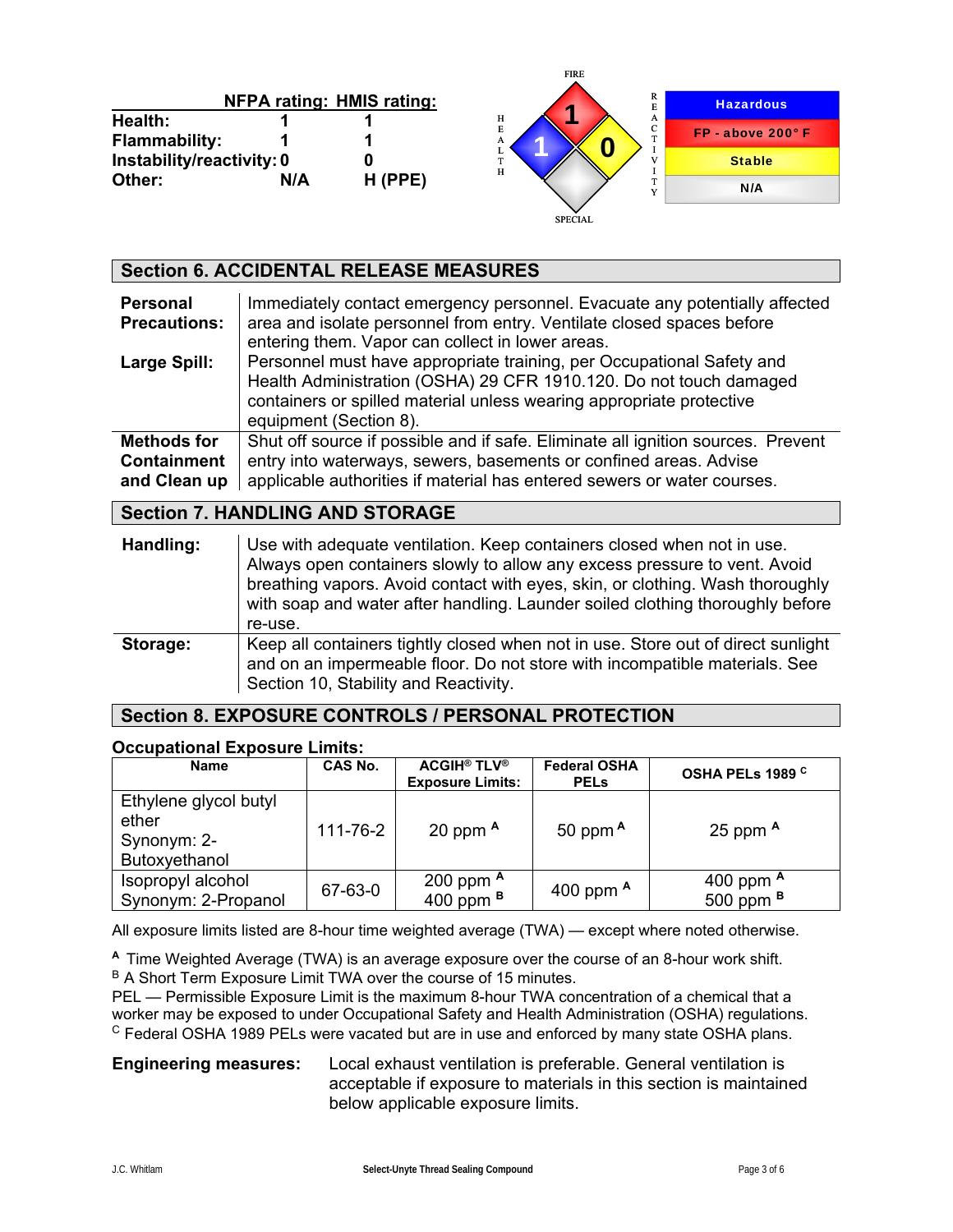|                           |     |                                  | -----                          |                   |
|---------------------------|-----|----------------------------------|--------------------------------|-------------------|
|                           |     | <b>NFPA rating: HMIS rating:</b> | R<br>×                         | <b>Hazardous</b>  |
| Health:                   |     |                                  | н<br>A                         |                   |
| <b>Flammability:</b>      |     |                                  | $\overline{E}$<br>C<br>m.<br>A | FP - above 200° F |
| Instability/reactivity: 0 |     |                                  | ı.<br><b>TP</b>                | <b>Stable</b>     |
| Other:                    | N/A | $H$ (PPE)                        | Н                              | N/A               |
|                           |     |                                  | <b>SPECIAL</b>                 |                   |

FIRE

| <b>Section 6. ACCIDENTAL RELEASE MEASURES</b>     |                                                                                                                                                                                                                                               |  |  |
|---------------------------------------------------|-----------------------------------------------------------------------------------------------------------------------------------------------------------------------------------------------------------------------------------------------|--|--|
| <b>Personal</b><br><b>Precautions:</b>            | Immediately contact emergency personnel. Evacuate any potentially affected<br>area and isolate personnel from entry. Ventilate closed spaces before<br>entering them. Vapor can collect in lower areas.                                       |  |  |
| Large Spill:                                      | Personnel must have appropriate training, per Occupational Safety and<br>Health Administration (OSHA) 29 CFR 1910.120. Do not touch damaged<br>containers or spilled material unless wearing appropriate protective<br>equipment (Section 8). |  |  |
| Methods for<br><b>Containment</b><br>and Clean up | Shut off source if possible and if safe. Eliminate all ignition sources. Prevent<br>entry into waterways, sewers, basements or confined areas. Advise<br>applicable authorities if material has entered sewers or water courses.              |  |  |
| <b>Section 7. HANDLING AND STORAGE</b>            |                                                                                                                                                                                                                                               |  |  |
| Handling:                                         | Use with adequate ventilation. Keep containers closed when not in use.<br>Always open containers slowly to allow any excess pressure to vent. Avoid                                                                                           |  |  |

|          | Thing to open containers signified anony any chocse pressure to vent. Those<br>breathing vapors. Avoid contact with eyes, skin, or clothing. Wash thoroughly<br>with soap and water after handling. Launder soiled clothing thoroughly before<br>re-use. |
|----------|----------------------------------------------------------------------------------------------------------------------------------------------------------------------------------------------------------------------------------------------------------|
| Storage: | Keep all containers tightly closed when not in use. Store out of direct sunlight<br>and on an impermeable floor. Do not store with incompatible materials. See<br>Section 10, Stability and Reactivity.                                                  |

# **Section 8. EXPOSURE CONTROLS / PERSONAL PROTECTION**

#### **Occupational Exposure Limits:**

| <b>Name</b>                                                    | CAS No.  | <b>ACGIH<sup>®</sup> TLV<sup>®</sup></b><br><b>Exposure Limits:</b> | <b>Federal OSHA</b><br><b>PELS</b> | OSHA PELs 1989 <sup>C</sup>       |
|----------------------------------------------------------------|----------|---------------------------------------------------------------------|------------------------------------|-----------------------------------|
| Ethylene glycol butyl<br>ether<br>Synonym: 2-<br>Butoxyethanol | 111-76-2 | 20 ppm $A$                                                          | 50 ppm $A$                         | 25 ppm $A$                        |
| Isopropyl alcohol<br>Synonym: 2-Propanol                       | 67-63-0  | 200 ppm $A$<br>400 ppm $B$                                          | 400 ppm $A$                        | 400 ppm A<br>500 ppm <sup>B</sup> |

All exposure limits listed are 8-hour time weighted average (TWA) — except where noted otherwise.

**<sup>A</sup>**Time Weighted Average (TWA) is an average exposure over the course of an 8-hour work shift. B A Short Term Exposure Limit TWA over the course of 15 minutes.

PEL — Permissible Exposure Limit is the maximum 8-hour TWA concentration of a chemical that a worker may be exposed to under Occupational Safety and Health Administration (OSHA) regulations.  $\textdegree$  Federal OSHA 1989 PELs were vacated but are in use and enforced by many state OSHA plans.

**Engineering measures:** Local exhaust ventilation is preferable. General ventilation is acceptable if exposure to materials in this section is maintained below applicable exposure limits.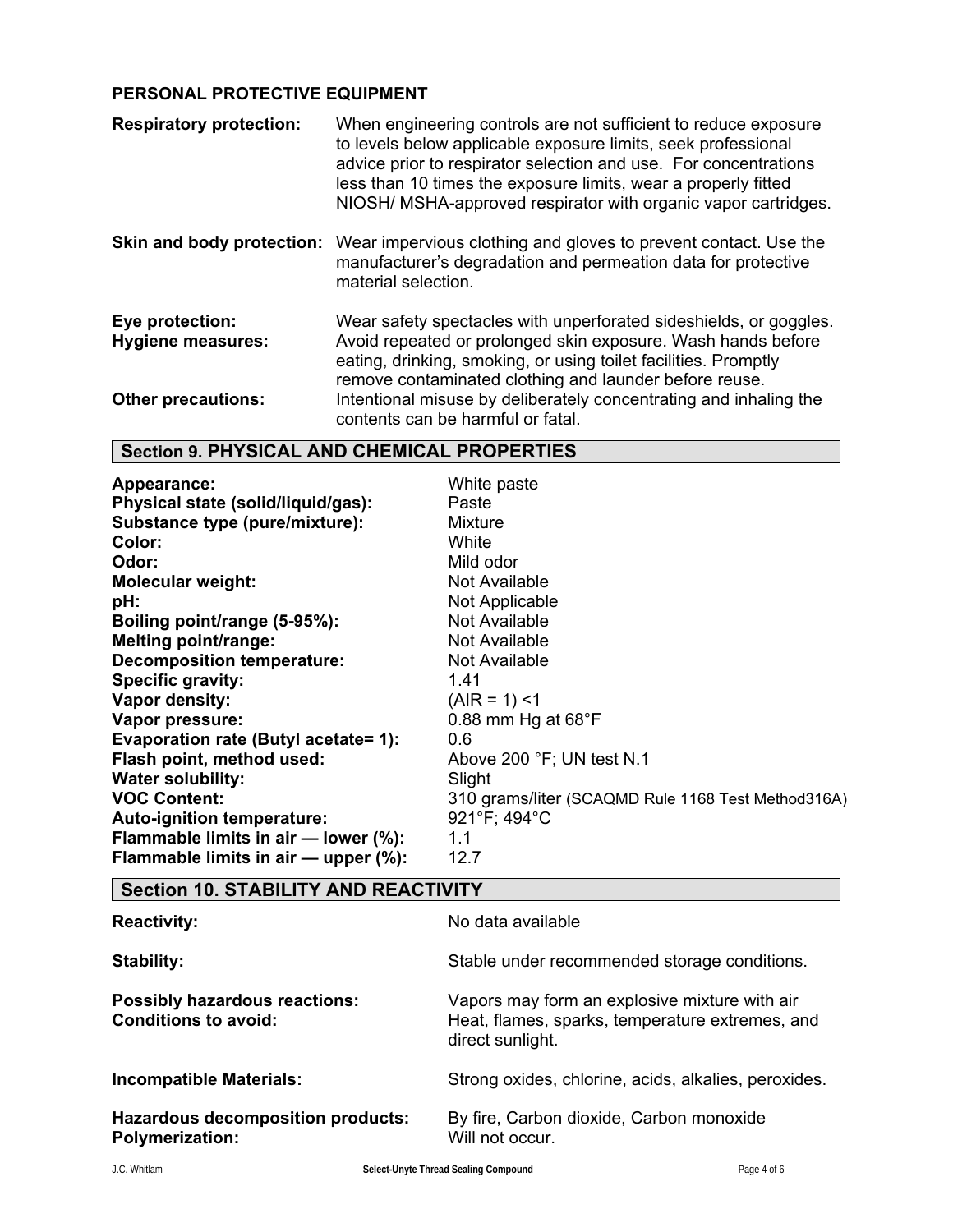# **PERSONAL PROTECTIVE EQUIPMENT**

| <b>Respiratory protection:</b>              | When engineering controls are not sufficient to reduce exposure<br>to levels below applicable exposure limits, seek professional<br>advice prior to respirator selection and use. For concentrations<br>less than 10 times the exposure limits, wear a properly fitted<br>NIOSH/ MSHA-approved respirator with organic vapor cartridges. |
|---------------------------------------------|------------------------------------------------------------------------------------------------------------------------------------------------------------------------------------------------------------------------------------------------------------------------------------------------------------------------------------------|
| Skin and body protection:                   | Wear impervious clothing and gloves to prevent contact. Use the<br>manufacturer's degradation and permeation data for protective<br>material selection.                                                                                                                                                                                  |
| Eye protection:<br><b>Hygiene measures:</b> | Wear safety spectacles with unperforated sideshields, or goggles.<br>Avoid repeated or prolonged skin exposure. Wash hands before<br>eating, drinking, smoking, or using toilet facilities. Promptly<br>remove contaminated clothing and launder before reuse.                                                                           |
| <b>Other precautions:</b>                   | Intentional misuse by deliberately concentrating and inhaling the<br>contents can be harmful or fatal.                                                                                                                                                                                                                                   |

# **Section 9. PHYSICAL AND CHEMICAL PROPERTIES**

| Appearance:                          | White paste                                        |
|--------------------------------------|----------------------------------------------------|
| Physical state (solid/liquid/gas):   | Paste                                              |
| Substance type (pure/mixture):       | <b>Mixture</b>                                     |
| Color:                               | White                                              |
| Odor:                                | Mild odor                                          |
| <b>Molecular weight:</b>             | Not Available                                      |
| pH:                                  | Not Applicable                                     |
| Boiling point/range (5-95%):         | Not Available                                      |
| <b>Melting point/range:</b>          | Not Available                                      |
| <b>Decomposition temperature:</b>    | Not Available                                      |
| Specific gravity:                    | 1.41                                               |
| Vapor density:                       | $(AIR = 1)$ <1                                     |
| Vapor pressure:                      | 0.88 mm Hg at 68°F                                 |
| Evaporation rate (Butyl acetate= 1): | 0.6                                                |
| Flash point, method used:            | Above 200 °F; UN test N.1                          |
| <b>Water solubility:</b>             | Slight                                             |
| <b>VOC Content:</b>                  | 310 grams/liter (SCAQMD Rule 1168 Test Method316A) |
| Auto-ignition temperature:           | 921°F; 494°C                                       |
| Flammable limits in air - lower (%): | 1.1                                                |
| Flammable limits in air - upper (%): | 12.7                                               |

# **Section 10. STABILITY AND REACTIVITY**

| <b>Reactivity:</b>                                                  | No data available                                                                                                    |
|---------------------------------------------------------------------|----------------------------------------------------------------------------------------------------------------------|
| Stability:                                                          | Stable under recommended storage conditions.                                                                         |
| <b>Possibly hazardous reactions:</b><br><b>Conditions to avoid:</b> | Vapors may form an explosive mixture with air<br>Heat, flames, sparks, temperature extremes, and<br>direct sunlight. |
| <b>Incompatible Materials:</b>                                      | Strong oxides, chlorine, acids, alkalies, peroxides.                                                                 |
| <b>Hazardous decomposition products:</b><br><b>Polymerization:</b>  | By fire, Carbon dioxide, Carbon monoxide<br>Will not occur.                                                          |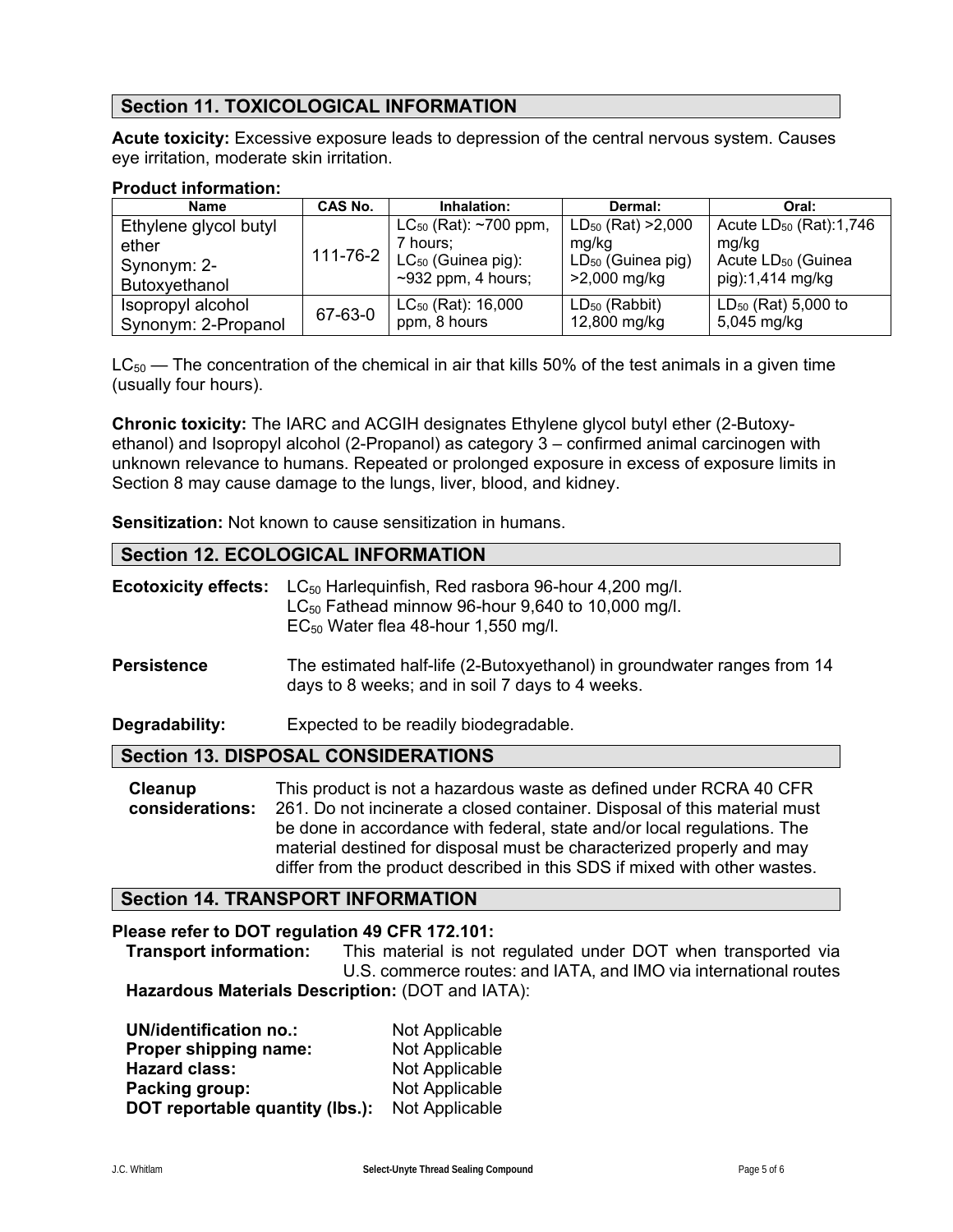# **Section 11. TOXICOLOGICAL INFORMATION**

**Acute toxicity:** Excessive exposure leads to depression of the central nervous system. Causes eye irritation, moderate skin irritation.

# **Product information:**

| <b>Name</b>           | CAS No. | Inhalation:                                          | Dermal:                 | Oral:                              |
|-----------------------|---------|------------------------------------------------------|-------------------------|------------------------------------|
| Ethylene glycol butyl |         | $LC_{50}$ (Rat): ~700 ppm,                           | $LD_{50}$ (Rat) > 2,000 | Acute LD <sub>50</sub> (Rat):1,746 |
| ether                 |         | 7 hours:                                             | mg/kg                   | mg/kg                              |
| Synonym: 2-           |         | $_1$ 111-76-2 $\vert$ LC <sub>50</sub> (Guinea pig): | $LD_{50}$ (Guinea pig)  | Acute LD <sub>50</sub> (Guinea     |
| Butoxyethanol         |         | $~2932$ ppm, 4 hours;                                | >2,000 mg/kg            | pig):1,414 mg/kg                   |
| Isopropyl alcohol     | 67-63-0 | $LC_{50}$ (Rat): 16,000                              | $LD_{50}$ (Rabbit)      | $LD_{50}$ (Rat) 5,000 to           |
| Synonym: 2-Propanol   |         | ppm, 8 hours                                         | 12,800 mg/kg            | 5,045 mg/kg                        |

 $LC_{50}$  — The concentration of the chemical in air that kills 50% of the test animals in a given time (usually four hours).

**Chronic toxicity:** The IARC and ACGIH designates Ethylene glycol butyl ether (2-Butoxyethanol) and Isopropyl alcohol (2-Propanol) as category 3 – confirmed animal carcinogen with unknown relevance to humans. Repeated or prolonged exposure in excess of exposure limits in Section 8 may cause damage to the lungs, liver, blood, and kidney.

**Sensitization:** Not known to cause sensitization in humans.

# **Section 12. ECOLOGICAL INFORMATION**

| <b>Ecotoxicity effects:</b> | $LC_{50}$ Harleguinfish, Red rasbora 96-hour 4,200 mg/l.<br>$LC_{50}$ Fathead minnow 96-hour 9,640 to 10,000 mg/l.<br>$EC_{50}$ Water flea 48-hour 1,550 mg/l.                                                                                                                                                                                                                   |  |  |
|-----------------------------|----------------------------------------------------------------------------------------------------------------------------------------------------------------------------------------------------------------------------------------------------------------------------------------------------------------------------------------------------------------------------------|--|--|
| <b>Persistence</b>          | The estimated half-life (2-Butoxyethanol) in groundwater ranges from 14<br>days to 8 weeks; and in soil 7 days to 4 weeks.                                                                                                                                                                                                                                                       |  |  |
| Degradability:              | Expected to be readily biodegradable.                                                                                                                                                                                                                                                                                                                                            |  |  |
|                             | <b>Section 13. DISPOSAL CONSIDERATIONS</b>                                                                                                                                                                                                                                                                                                                                       |  |  |
| Cleanup<br>considerations:  | This product is not a hazardous waste as defined under RCRA 40 CFR<br>261. Do not incinerate a closed container. Disposal of this material must<br>be done in accordance with federal, state and/or local regulations. The<br>material destined for disposal must be characterized properly and may<br>differ from the product described in this SDS if mixed with other wastes. |  |  |

# **Section 14. TRANSPORT INFORMATION**

## **Please refer to DOT regulation 49 CFR 172.101:**

 **Transport information:** This material is not regulated under DOT when transported via U.S. commerce routes: and IATA, and IMO via international routes **Hazardous Materials Description:** (DOT and IATA):

| <b>UN/identification no.:</b>   | Not Applicable |
|---------------------------------|----------------|
| Proper shipping name:           | Not Applicable |
| <b>Hazard class:</b>            | Not Applicable |
| Packing group:                  | Not Applicable |
| DOT reportable quantity (lbs.): | Not Applicable |